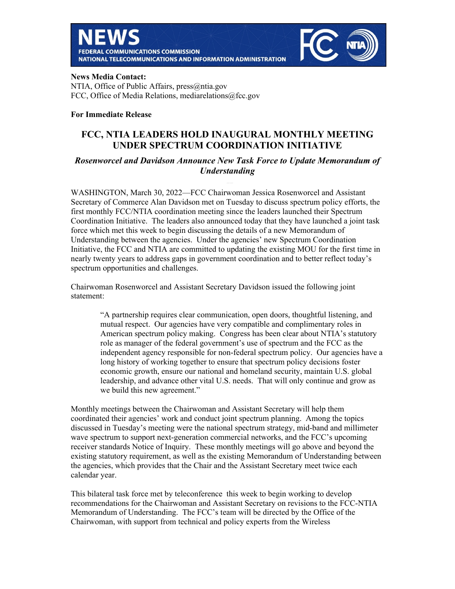



### **News Media Contact:**

NTIA, Office of Public Affairs, press@ntia.gov FCC, Office of Media Relations, mediarelations@fcc.gov

## **For Immediate Release**

# **FCC, NTIA LEADERS HOLD INAUGURAL MONTHLY MEETING UNDER SPECTRUM COORDINATION INITIATIVE**

# *Rosenworcel and Davidson Announce New Task Force to Update Memorandum of Understanding*

WASHINGTON, March 30, 2022—FCC Chairwoman Jessica Rosenworcel and Assistant Secretary of Commerce Alan Davidson met on Tuesday to discuss spectrum policy efforts, the first monthly FCC/NTIA coordination meeting since the leaders launched their Spectrum Coordination Initiative. The leaders also announced today that they have launched a joint task force which met this week to begin discussing the details of a new Memorandum of Understanding between the agencies. Under the agencies' new Spectrum Coordination Initiative, the FCC and NTIA are committed to updating the existing MOU for the first time in nearly twenty years to address gaps in government coordination and to better reflect today's spectrum opportunities and challenges.

Chairwoman Rosenworcel and Assistant Secretary Davidson issued the following joint statement:

> "A partnership requires clear communication, open doors, thoughtful listening, and mutual respect. Our agencies have very compatible and complimentary roles in American spectrum policy making. Congress has been clear about NTIA's statutory role as manager of the federal government's use of spectrum and the FCC as the independent agency responsible for non-federal spectrum policy. Our agencies have a long history of working together to ensure that spectrum policy decisions foster economic growth, ensure our national and homeland security, maintain U.S. global leadership, and advance other vital U.S. needs. That will only continue and grow as we build this new agreement."

Monthly meetings between the Chairwoman and Assistant Secretary will help them coordinated their agencies' work and conduct joint spectrum planning. Among the topics discussed in Tuesday's meeting were the national spectrum strategy, mid-band and millimeter wave spectrum to support next-generation commercial networks, and the FCC's upcoming receiver standards Notice of Inquiry. These monthly meetings will go above and beyond the existing statutory requirement, as well as the existing Memorandum of Understanding between the agencies, which provides that the Chair and the Assistant Secretary meet twice each calendar year.

This bilateral task force met by teleconference this week to begin working to develop recommendations for the Chairwoman and Assistant Secretary on revisions to the FCC-NTIA Memorandum of Understanding. The FCC's team will be directed by the Office of the Chairwoman, with support from technical and policy experts from the Wireless